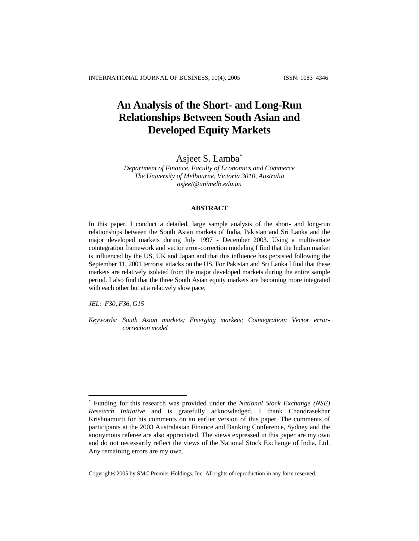# **An Analysis of the Short- and Long-Run Relationships Between South Asian and Developed Equity Markets**

# Asjeet S. Lamba<sup>\*</sup>

*Department of Finance, Faculty of Economics and Commerce The University of Melbourne, Victoria 3010, Australia [asjeet@unimelb.edu.au](mailto:asjeet@unimelb.edu.au)*

## **ABSTRACT**

In this paper, I conduct a detailed, large sample analysis of the short- and long-run relationships between the South Asian markets of India, Pakistan and Sri Lanka and the major developed markets during July 1997 - December 2003. Using a multivariate cointegration framework and vector error-correction modeling I find that the Indian market is influenced by the US, UK and Japan and that this influence has persisted following the September 11, 2001 terrorist attacks on the US. For Pakistan and Sri Lanka I find that these markets are relatively isolated from the major developed markets during the entire sample period. I also find that the three South Asian equity markets are becoming more integrated with each other but at a relatively slow pace.

*JEL: F30, F36, G15* 

l

*Keywords: South Asian markets; Emerging markets; Cointegration; Vector errorcorrection model*

Copyright©2005 by SMC Premier Holdings, Inc. All rights of reproduction in any form reserved.

<span id="page-0-0"></span><sup>∗</sup> Funding for this research was provided under the *National Stock Exchange (NSE) Research Initiative* and is gratefully acknowledged. I thank Chandrasekhar Krishnamurti for his comments on an earlier version of this paper. The comments of participants at the 2003 Australasian Finance and Banking Conference, Sydney and the anonymous referee are also appreciated. The views expressed in this paper are my own and do not necessarily reflect the views of the National Stock Exchange of India, Ltd. Any remaining errors are my own.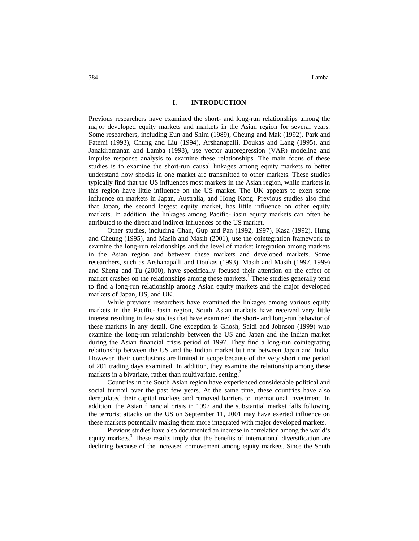384 Lamba

## **I. INTRODUCTION**

Previous researchers have examined the short- and long-run relationships among the major developed equity markets and markets in the Asian region for several years. Some researchers, including Eun and Shim (1989), Cheung and Mak (1992), Park and Fatemi (1993), Chung and Liu (1994), Arshanapalli, Doukas and Lang (1995), and Janakiramanan and Lamba (1998), use vector autoregression (VAR) modeling and impulse response analysis to examine these relationships. The main focus of these studies is to examine the short-run causal linkages among equity markets to better understand how shocks in one market are transmitted to other markets. These studies typically find that the US influences most markets in the Asian region, while markets in this region have little influence on the US market. The UK appears to exert some influence on markets in Japan, Australia, and Hong Kong. Previous studies also find that Japan, the second largest equity market, has little influence on other equity markets. In addition, the linkages among Pacific-Basin equity markets can often be attributed to the direct and indirect influences of the US market.

Other studies, including Chan, Gup and Pan (1992, 1997), Kasa (1992), Hung and Cheung (1995), and Masih and Masih (2001), use the cointegration framework to examine the long-run relationships and the level of market integration among markets in the Asian region and between these markets and developed markets. Some researchers, such as Arshanapalli and Doukas (1993), Masih and Masih (1997, 1999) and Sheng and Tu (2000), have specifically focused their attention on the effect of market crashes on the relationships among these markets.<sup>1</sup> These studies generally tend to find a long-run relationship among Asian equity markets and the major developed markets of Japan, US, and UK.

While previous researchers have examined the linkages among various equity markets in the Pacific-Basin region, South Asian markets have received very little interest resulting in few studies that have examined the short- and long-run behavior of these markets in any detail. One exception is Ghosh, Saidi and Johnson (1999) who examine the long-run relationship between the US and Japan and the Indian market during the Asian financial crisis period of 1997. They find a long-run cointegrating relationship between the US and the Indian market but not between Japan and India. However, their conclusions are limited in scope because of the very short time period of 201 trading days examined. In addition, they examine the relationship among these markets in a bivariate, rather than multivariate, setting.<sup>2</sup>

Countries in the South Asian region have experienced considerable political and social turmoil over the past few years. At the same time, these countries have also deregulated their capital markets and removed barriers to international investment. In addition, the Asian financial crisis in 1997 and the substantial market falls following the terrorist attacks on the US on September 11, 2001 may have exerted influence on these markets potentially making them more integrated with major developed markets.

Previous studies have also documented an increase in correlation among the world's equity markets.<sup>3</sup> These results imply that the benefits of international diversification are declining because of the increased comovement among equity markets. Since the South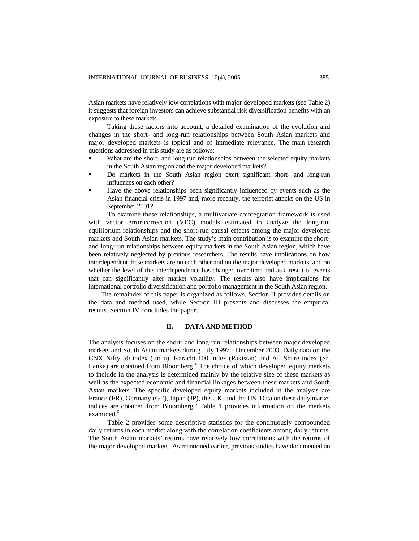Asian markets have relatively low correlations with major developed markets (see Table 2) it suggests that foreign investors can achieve substantial risk diversification benefits with an exposure to these markets.

Taking these factors into account, a detailed examination of the evolution and changes in the short- and long-run relationships between South Asian markets and major developed markets is topical and of immediate relevance. The main research questions addressed in this study are as follows:

- What are the short- and long-run relationships between the selected equity markets in the South Asian region and the major developed markets?
- Do markets in the South Asian region exert significant short- and long-run influences on each other?
- Have the above relationships been significantly influenced by events such as the Asian financial crisis in 1997 and, more recently, the terrorist attacks on the US in September 2001?

To examine these relationships, a multivariate cointegration framework is used with vector error-correction (VEC) models estimated to analyze the long-run equilibrium relationships and the short-run causal effects among the major developed markets and South Asian markets. The study's main contribution is to examine the shortand long-run relationships between equity markets in the South Asian region, which have been relatively neglected by previous researchers. The results have implications on how interdependent these markets are on each other and on the major developed markets, and on whether the level of this interdependence has changed over time and as a result of events that can significantly alter market volatility. The results also have implications for international portfolio diversification and portfolio management in the South Asian region.

The remainder of this paper is organized as follows. Section II provides details on the data and method used, while Section III presents and discusses the empirical results. Section IV concludes the paper.

## **II. DATA AND METHOD**

The analysis focuses on the short- and long-run relationships between major developed markets and South Asian markets during July 1997 - December 2003. Daily data on the CNX Nifty 50 index (India), Karachi 100 index (Pakistan) and All Share index (Sri Lanka) are obtained from Bloomberg.<sup>4</sup> The choice of which developed equity markets to include in the analysis is determined mainly by the relative size of these markets as well as the expected economic and financial linkages between these markets and South Asian markets. The specific developed equity markets included in the analysis are France (FR), Germany (GE), Japan (JP), the UK, and the US. Data on these daily market indices are obtained from Bloomberg.<sup>5</sup> Table 1 provides information on the markets examined.<sup>6</sup>

Table 2 provides some descriptive statistics for the continuously compounded daily returns in each market along with the correlation coefficients among daily returns. The South Asian markets' returns have relatively low correlations with the returns of the major developed markets. As mentioned earlier, previous studies have documented an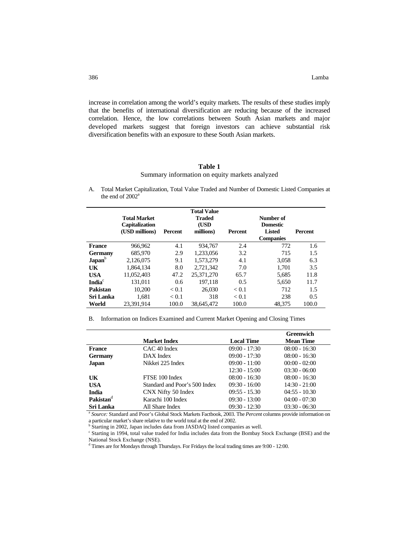increase in correlation among the world's equity markets. The results of these studies imply that the benefits of international diversification are reducing because of the increased correlation. Hence, the low correlations between South Asian markets and major developed markets suggest that foreign investors can achieve substantial risk diversification benefits with an exposure to these South Asian markets.

# **Table 1**

### Summary information on equity markets analyzed

A. Total Market Capitalization, Total Value Traded and Number of Domestic Listed Companies at the end of 2002<sup>a</sup>

|                           | <b>Total Market</b><br><b>Capitalization</b><br>(USD millions) | <b>Percent</b> | <b>Total Value</b><br><b>Traded</b><br>(USD<br>millions) | <b>Percent</b> | Number of<br><b>Domestic</b><br>Listed<br><b>Companies</b> | Percent |
|---------------------------|----------------------------------------------------------------|----------------|----------------------------------------------------------|----------------|------------------------------------------------------------|---------|
| <b>France</b>             | 966,962                                                        | 4.1            | 934.767                                                  | 2.4            | 772                                                        | 1.6     |
| Germany                   | 685,970                                                        | 2.9            | 1.233.056                                                | 3.2            | 715                                                        | 1.5     |
| Japan <sup>b</sup>        | 2,126,075                                                      | 9.1            | 1,573,279                                                | 4.1            | 3,058                                                      | 6.3     |
| UK                        | 1.864.134                                                      | 8.0            | 2.721.342                                                | 7.0            | 1.701                                                      | 3.5     |
| <b>USA</b>                | 11.052.403                                                     | 47.2           | 25,371,270                                               | 65.7           | 5.685                                                      | 11.8    |
| <b>India</b> <sup>c</sup> | 131,011                                                        | 0.6            | 197,118                                                  | 0.5            | 5,650                                                      | 11.7    |
| Pakistan                  | 10.200                                                         | < 0.1          | 26,030                                                   | < 0.1          | 712                                                        | 1.5     |
| Sri Lanka                 | 1.681                                                          | < 0.1          | 318                                                      | < 0.1          | 238                                                        | 0.5     |
| World                     | 23.391.914                                                     | 100.0          | 38.645.472                                               | 100.0          | 48.375                                                     | 100.0   |

B. Information on Indices Examined and Current Market Opening and Closing Times

|                       |                               |                   | <b>Greenwich</b> |
|-----------------------|-------------------------------|-------------------|------------------|
|                       | <b>Market Index</b>           | <b>Local Time</b> | <b>Mean Time</b> |
| <b>France</b>         | CAC <sub>40</sub> Index       | $09:00 - 17:30$   | $08:00 - 16:30$  |
| <b>Germany</b>        | DAX Index                     | $09:00 - 17:30$   | $08:00 - 16:30$  |
| Japan                 | Nikkei 225 Index              | $09:00 - 11:00$   | $00:00 - 02:00$  |
|                       |                               | $12:30 - 15:00$   | $03:30 - 06:00$  |
| UK                    | FTSE 100 Index                | $08:00 - 16:30$   | $08:00 - 16:30$  |
| <b>USA</b>            | Standard and Poor's 500 Index | $09:30 - 16:00$   | $14:30 - 21:00$  |
| <b>India</b>          | CNX Nifty 50 Index            | $09:55 - 15.30$   | $04:55 - 10.30$  |
| Pakistan <sup>d</sup> | Karachi 100 Index             | $09:30 - 13:00$   | $04:00 - 07:30$  |
| Sri Lanka             | All Share Index               | $09:30 - 12:30$   | $03:30 - 06:30$  |

<sup>a</sup> Source: Standard and Poor's Global Stock Markets Factbook, 2003. The *Percent* columns provide information on a particular market's share relative to the world total at the end of 2002.

<sup>b</sup> Starting in 2002, Japan includes data from JASDAQ listed companies as well.

 Starting in 1994, total value traded for India includes data from the Bombay Stock Exchange (BSE) and the National Stock Exchange (NSE).

<sup>d</sup> Times are for Mondays through Thursdays. For Fridays the local trading times are 9:00 - 12:00.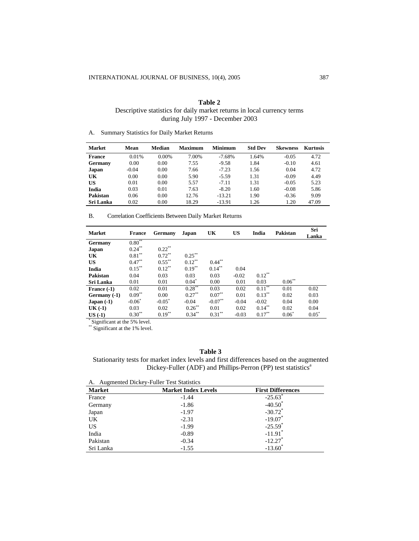| Table 2                                                                 |
|-------------------------------------------------------------------------|
| Descriptive statistics for daily market returns in local currency terms |
| during July 1997 - December 2003                                        |

A. Summary Statistics for Daily Market Returns

| <b>Market</b>    | Mean    | Median   | <b>Maximum</b> | <b>Minimum</b> | <b>Std Dev</b> | <b>Skewness</b> | <b>Kurtosis</b> |
|------------------|---------|----------|----------------|----------------|----------------|-----------------|-----------------|
| <b>France</b>    | 0.01%   | $0.00\%$ | 7.00%          | $-7.68\%$      | 1.64%          | $-0.05$         | 4.72            |
| Germany          | 0.00    | 0.00     | 7.55           | $-9.58$        | 1.84           | $-0.10$         | 4.61            |
| Japan            | $-0.04$ | 0.00     | 7.66           | $-7.23$        | 1.56           | 0.04            | 4.72            |
| UK               | 0.00    | 0.00     | 5.90           | $-5.59$        | 1.31           | $-0.09$         | 4.49            |
| US               | 0.01    | 0.00     | 5.57           | $-7.11$        | 1.31           | $-0.05$         | 5.23            |
| India            | 0.03    | 0.01     | 7.63           | $-8.20$        | 1.60           | $-0.08$         | 5.86            |
| Pakistan         | 0.06    | 0.00     | 12.76          | $-13.21$       | 1.90           | $-0.36$         | 9.09            |
| <b>Sri Lanka</b> | 0.02    | 0.00     | 18.29          | $-13.91$       | 1.26           | 1.20            | 47.09           |

B. Correlation Coefficients Between Daily Market Returns

| <b>Market</b>          | <b>France</b> | Germany   | Japan     | UK        | <b>US</b> | India     | <b>Pakistan</b> | Sri<br>Lanka |
|------------------------|---------------|-----------|-----------|-----------|-----------|-----------|-----------------|--------------|
|                        | $0.80**$      |           |           |           |           |           |                 |              |
| Germany                |               |           |           |           |           |           |                 |              |
| Japan                  | $0.24***$     | $0.22$ ** |           |           |           |           |                 |              |
| UK                     | $0.81***$     | $0.72***$ | $0.25***$ |           |           |           |                 |              |
| <b>US</b>              | $0.47***$     | $0.55***$ | $0.12***$ | $0.44***$ |           |           |                 |              |
| India                  | $0.15***$     | $0.12***$ | $0.19***$ | $0.14***$ | 0.04      |           |                 |              |
| Pakistan               | 0.04          | 0.03      | 0.03      | 0.03      | $-0.02$   | $0.12***$ |                 |              |
| <b>Sri Lanka</b>       | 0.01          | 0.01      | $0.04^*$  | 0.00      | 0.01      | 0.03      | $0.06***$       |              |
| France $(-1)$          | 0.02          | 0.01      | $0.28***$ | 0.03      | 0.02      | $0.11***$ | 0.01            | 0.02         |
| Germany (-1)           | $0.09**$      | 0.00      | $0.27***$ | $0.07***$ | 0.01      | $0.13***$ | 0.02            | 0.03         |
| $Japan(-1)$            | $-0.06^*$     | $-0.05^*$ | $-0.04$   | $-0.07**$ | $-0.04$   | $-0.02$   | 0.04            | 0.00         |
| $UK( -1)$              | 0.03          | 0.02      | $0.26***$ | 0.01      | 0.02      | $0.14***$ | 0.02            | 0.04         |
| $US( -1)$<br>St. Louis | $0.30**$      | $0.19***$ | $0.34***$ | $0.31***$ | $-0.03$   | $0.17***$ | $0.06^*$        | $0.05^*$     |

\* Significant at the 5% level.

\*\* Significant at the 1% level.

#### **Table 3**

Stationarity tests for market index levels and first differences based on the augmented Dickey-Fuller (ADF) and Phillips-Perron (PP) test statistics<sup>a</sup>

| <b>Market</b> | <b>Market Index Levels</b> | <b>First Differences</b> |
|---------------|----------------------------|--------------------------|
| France        | $-1.44$                    | $-25.63$ <sup>*</sup>    |
| Germany       | $-1.86$                    | $-40.50^*$               |
| Japan         | $-1.97$                    | $-30.72$ <sup>*</sup>    |
| UK            | $-2.31$                    | $-19.07$ *               |
| <b>US</b>     | $-1.99$                    | $-25.59$ <sup>*</sup>    |
| India         | $-0.89$                    | $-11.91$ <sup>*</sup>    |
| Pakistan      | $-0.34$                    | $-12.27$                 |
| Sri Lanka     | $-1.55$                    | $-13.60$                 |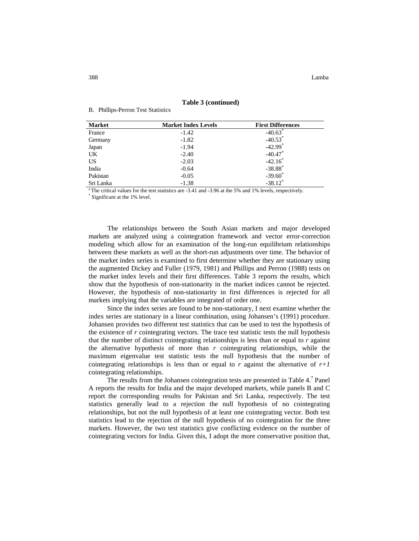| <b>Market</b> | <b>Market Index Levels</b> | <b>First Differences</b> |
|---------------|----------------------------|--------------------------|
| France        | $-1.42$                    | $-40.63$                 |
| Germany       | $-1.82$                    | $-40.53$ <sup>*</sup>    |
| Japan         | $-1.94$                    | $-42.99$ <sup>*</sup>    |
| UK.           | $-2.40$                    | $-40.47$ *               |
| <b>US</b>     | $-2.03$                    | $-42.16$ <sup>*</sup>    |
| India         | $-0.64$                    | $-38.88$ <sup>*</sup>    |
| Pakistan      | $-0.05$                    | $-39.60^*$               |
| Sri Lanka     | $-1.38$                    | $-38.12$ <sup>*</sup>    |

#### **Table 3 (continued)**

B. Phillips-Perron Test Statistics

<sup>a</sup> The critical values for the test statistics are -3.41 and -3.96 at the 5% and 1% levels, respectively.

Significant at the 1% level.

The relationships between the South Asian markets and major developed markets are analyzed using a cointegration framework and vector error-correction modeling which allow for an examination of the long-run equilibrium relationships between these markets as well as the short-run adjustments over time. The behavior of the market index series is examined to first determine whether they are stationary using the augmented Dickey and Fuller (1979, 1981) and Phillips and Perron (1988) tests on the market index levels and their first differences. Table 3 reports the results, which show that the hypothesis of non-stationarity in the market indices cannot be rejected. However, the hypothesis of non-stationarity in first differences is rejected for all markets implying that the variables are integrated of order one.

Since the index series are found to be non-stationary, I next examine whether the index series are stationary in a linear combination, using Johansen's (1991) procedure. Johansen provides two different test statistics that can be used to test the hypothesis of the existence of *r* cointegrating vectors. The trace test statistic tests the null hypothesis that the number of distinct cointegrating relationships is less than or equal to  $r$  against the alternative hypothesis of more than  $r$  cointegrating relationships, while the maximum eigenvalue test statistic tests the null hypothesis that the number of cointegrating relationships is less than or equal to  $r$  against the alternative of  $r+1$ cointegrating relationships.

The results from the Johansen cointegration tests are presented in Table 4.<sup>7</sup> Panel A reports the results for India and the major developed markets, while panels B and C report the corresponding results for Pakistan and Sri Lanka, respectively. The test statistics generally lead to a rejection the null hypothesis of no cointegrating relationships, but not the null hypothesis of at least one cointegrating vector. Both test statistics lead to the rejection of the null hypothesis of no cointegration for the three markets. However, the two test statistics give conflicting evidence on the number of cointegrating vectors for India. Given this, I adopt the more conservative position that,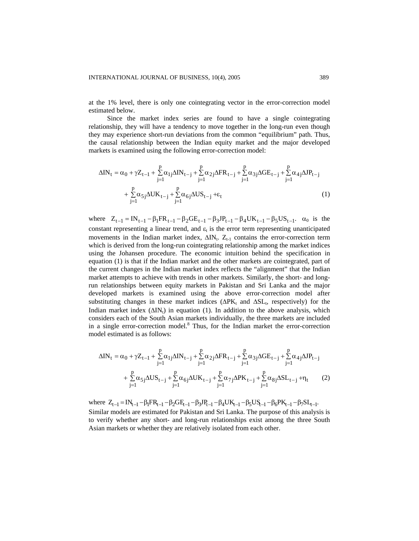at the 1% level, there is only one cointegrating vector in the error-correction model estimated below.

Since the market index series are found to have a single cointegrating relationship, they will have a tendency to move together in the long-run even though they may experience short-run deviations from the common "equilibrium" path. Thus, the causal relationship between the Indian equity market and the major developed markets is examined using the following error-correction model:

$$
\Delta IN_t = \alpha_0 + \gamma Z_{t-1} + \sum_{j=1}^p \alpha_{1j} \Delta IN_{t-j} + \sum_{j=1}^p \alpha_{2j} \Delta FR_{t-j} + \sum_{j=1}^p \alpha_{3j} \Delta GE_{t-j} + \sum_{j=1}^p \alpha_{4j} \Delta JP_{t-j} + \sum_{j=1}^p \alpha_{5j} \Delta UK_{t-j} + \sum_{j=1}^p \alpha_{6j} \Delta US_{t-j} + \varepsilon_t
$$
\n(1)

where  $Z_{t-1} = IN_{t-1} - \beta_1 FR_{t-1} - \beta_2 GE_{t-1} - \beta_3 IP_{t-1} - \beta_4 UK_{t-1} - \beta_5 US_{t-1}$ .  $\alpha_0$  is the constant representing a linear trend, and  $\varepsilon_t$  is the error term representing unanticipated movements in the Indian market index,  $\Delta IN_t$ .  $Z_{t-1}$  contains the error-correction term which is derived from the long-run cointegrating relationship among the market indices using the Johansen procedure. The economic intuition behind the specification in equation (1) is that if the Indian market and the other markets are cointegrated, part of the current changes in the Indian market index reflects the "alignment" that the Indian market attempts to achieve with trends in other markets. Similarly, the short- and longrun relationships between equity markets in Pakistan and Sri Lanka and the major developed markets is examined using the above error-correction model after substituting changes in these market indices  $(\Delta P K_t$  and  $\Delta SL_t$ , respectively) for the Indian market index  $(\Delta IN_t)$  in equation (1). In addition to the above analysis, which considers each of the South Asian markets individually, the three markets are included in a single error-correction model. 8 Thus, for the Indian market the error-correction model estimated is as follows:

$$
\begin{aligned} \Delta IN_{t}&=\alpha_0+\gamma Z_{t-1}+\sum_{j=1}^{p}\alpha_{1j}\Delta IN_{t-j}+\sum_{j=1}^{p}\alpha_{2j}\Delta FR_{t-j}+\sum_{j=1}^{p}\alpha_{3j}\Delta GE_{t-j}+\sum_{j=1}^{p}\alpha_{4j}\Delta JP_{t-j}\\ &+\sum_{j=1}^{p}\alpha_{5j}\Delta US_{t-j}+\sum_{j=1}^{p}\alpha_{6j}\Delta UK_{t-j}+\sum_{j=1}^{p}\alpha_{7j}\Delta PK_{t-j}+\sum_{j=1}^{p}\alpha_{8j}\Delta SL_{t-j}+\eta_{t} \end{aligned} \eqno{(2)}
$$

where  $Z_{t-1} = IN_{t-1} - \beta_1 FR_{t-1} - \beta_2 GE_{t-1} - \beta_3 JP_{t-1} - \beta_4 UK_{t-1} - \beta_5 US_{t-1} - \beta_6 PK_{t-1} - \beta_7 SL_{t-1}$ . Similar models are estimated for Pakistan and Sri Lanka. The purpose of this analysis is to verify whether any short- and long-run relationships exist among the three South Asian markets or whether they are relatively isolated from each other.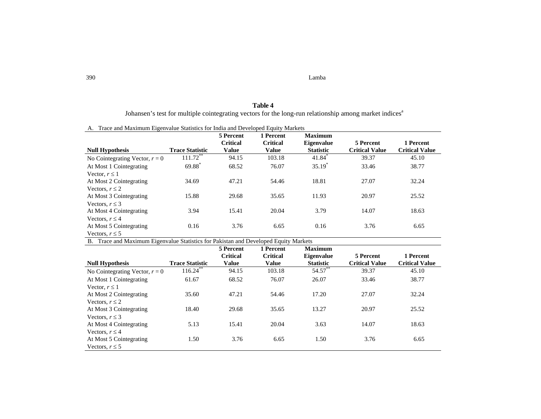390 Lamba Lamba

## **Table 4** Johansen's test for multiple cointegrating vectors for the long-run relationship among market indices<sup>a</sup>

|  | A. Trace and Maximum Eigenvalue Statistics for India and Developed Equity Markets |  |  |  |  |  |  |
|--|-----------------------------------------------------------------------------------|--|--|--|--|--|--|
|--|-----------------------------------------------------------------------------------|--|--|--|--|--|--|

|                                  |                        | 5 Percent                       | 1 Percent                       | <b>Maximum</b>                        | 5 Percent             |                                    |
|----------------------------------|------------------------|---------------------------------|---------------------------------|---------------------------------------|-----------------------|------------------------------------|
| <b>Null Hypothesis</b>           | <b>Trace Statistic</b> | <b>Critical</b><br><b>Value</b> | <b>Critical</b><br><b>Value</b> | <b>Eigenvalue</b><br><b>Statistic</b> | <b>Critical Value</b> | 1 Percent<br><b>Critical Value</b> |
| No Cointegrating Vector, $r = 0$ | $111.72**$             | 94.15                           | 103.18                          | $41.84*$                              | 39.37                 | 45.10                              |
| At Most 1 Cointegrating          | $69.88$ <sup>*</sup>   | 68.52                           | 76.07                           | $35.19*$                              | 33.46                 | 38.77                              |
| Vector, $r \leq 1$               |                        |                                 |                                 |                                       |                       |                                    |
| At Most 2 Cointegrating          | 34.69                  | 47.21                           | 54.46                           | 18.81                                 | 27.07                 | 32.24                              |
| Vectors, $r \leq 2$              |                        |                                 |                                 |                                       |                       |                                    |
| At Most 3 Cointegrating          | 15.88                  | 29.68                           | 35.65                           | 11.93                                 | 20.97                 | 25.52                              |
| Vectors, $r \leq 3$              |                        |                                 |                                 |                                       |                       |                                    |
| At Most 4 Cointegrating          | 3.94                   | 15.41                           | 20.04                           | 3.79                                  | 14.07                 | 18.63                              |
| Vectors, $r \leq 4$              |                        |                                 |                                 |                                       |                       |                                    |
| At Most 5 Cointegrating          | 0.16                   | 3.76                            | 6.65                            | 0.16                                  | 3.76                  | 6.65                               |
| Vectors, $r \leq 5$              |                        |                                 |                                 |                                       |                       |                                    |

B. Trace and Maximum Eigenvalue Statistics for Pakistan and Developed Equity Markets

|                                  |                        | 5 Percent<br><b>Critical</b> | 1 Percent<br><b>Critical</b> | <b>Maximum</b><br><b>Eigenvalue</b> | 5 Percent             | 1 Percent             |
|----------------------------------|------------------------|------------------------------|------------------------------|-------------------------------------|-----------------------|-----------------------|
| <b>Null Hypothesis</b>           | <b>Trace Statistic</b> | <b>Value</b>                 | Value                        | <b>Statistic</b>                    | <b>Critical Value</b> | <b>Critical Value</b> |
| No Cointegrating Vector, $r = 0$ | 116.24                 | 94.15                        | 103.18                       | 54.57**                             | 39.37                 | 45.10                 |
| At Most 1 Cointegrating          | 61.67                  | 68.52                        | 76.07                        | 26.07                               | 33.46                 | 38.77                 |
| Vector, $r \leq 1$               |                        |                              |                              |                                     |                       |                       |
| At Most 2 Cointegrating          | 35.60                  | 47.21                        | 54.46                        | 17.20                               | 27.07                 | 32.24                 |
| Vectors, $r \leq 2$              |                        |                              |                              |                                     |                       |                       |
| At Most 3 Cointegrating          | 18.40                  | 29.68                        | 35.65                        | 13.27                               | 20.97                 | 25.52                 |
| Vectors, $r \leq 3$              |                        |                              |                              |                                     |                       |                       |
| At Most 4 Cointegrating          | 5.13                   | 15.41                        | 20.04                        | 3.63                                | 14.07                 | 18.63                 |
| Vectors, $r \leq 4$              |                        |                              |                              |                                     |                       |                       |
| At Most 5 Cointegrating          | 1.50                   | 3.76                         | 6.65                         | 1.50                                | 3.76                  | 6.65                  |
| Vectors, $r \leq 5$              |                        |                              |                              |                                     |                       |                       |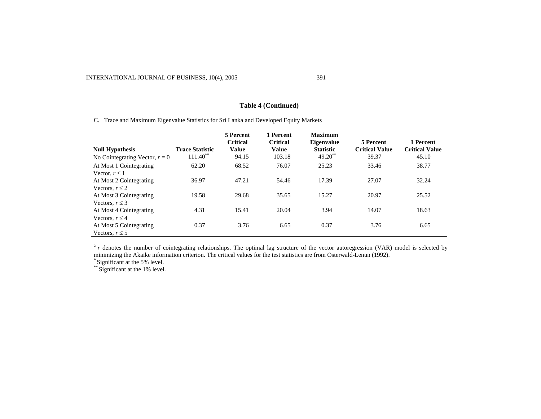# **Table 4 (Continued)**

C. Trace and Maximum Eigenvalue Statistics for Sri Lanka and Developed Equity Markets

|                                  |                        | 5 Percent                | 1 Percent                       | <b>Maximum</b>                        |                                    |                                    |
|----------------------------------|------------------------|--------------------------|---------------------------------|---------------------------------------|------------------------------------|------------------------------------|
| <b>Null Hypothesis</b>           | <b>Trace Statistic</b> | <b>Critical</b><br>Value | <b>Critical</b><br><b>Value</b> | <b>Eigenvalue</b><br><b>Statistic</b> | 5 Percent<br><b>Critical Value</b> | 1 Percent<br><b>Critical Value</b> |
| No Cointegrating Vector, $r = 0$ | $111.40$ **            | 94.15                    | 103.18                          | $49.20***$                            | 39.37                              | 45.10                              |
| At Most 1 Cointegrating          | 62.20                  | 68.52                    | 76.07                           | 25.23                                 | 33.46                              | 38.77                              |
| Vector, $r \leq 1$               |                        |                          |                                 |                                       |                                    |                                    |
| At Most 2 Cointegrating          | 36.97                  | 47.21                    | 54.46                           | 17.39                                 | 27.07                              | 32.24                              |
| Vectors, $r \leq 2$              |                        |                          |                                 |                                       |                                    |                                    |
| At Most 3 Cointegrating          | 19.58                  | 29.68                    | 35.65                           | 15.27                                 | 20.97                              | 25.52                              |
| Vectors, $r \leq 3$              |                        |                          |                                 |                                       |                                    |                                    |
| At Most 4 Cointegrating          | 4.31                   | 15.41                    | 20.04                           | 3.94                                  | 14.07                              | 18.63                              |
| Vectors, $r \leq 4$              |                        |                          |                                 |                                       |                                    |                                    |
| At Most 5 Cointegrating          | 0.37                   | 3.76                     | 6.65                            | 0.37                                  | 3.76                               | 6.65                               |
| Vectors, $r \leq 5$              |                        |                          |                                 |                                       |                                    |                                    |

<sup>a</sup>*r* denotes the number of cointegrating relationships. The optimal lag structure of the vector autoregression (VAR) model is selected by minimizing the Akaike information criterion. The critical values for the test statistics are from Osterwald-Lenun (1992).

Significant at the 5% level.<br>\*\*Significant at the 1% level.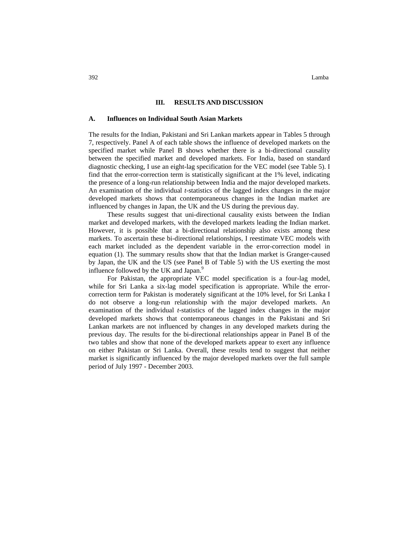#### **A. Influences on Individual South Asian Markets**

The results for the Indian, Pakistani and Sri Lankan markets appear in Tables 5 through 7, respectively. Panel A of each table shows the influence of developed markets on the specified market while Panel B shows whether there is a bi-directional causality between the specified market and developed markets. For India, based on standard diagnostic checking, I use an eight-lag specification for the VEC model (see Table 5). I find that the error-correction term is statistically significant at the 1% level, indicating the presence of a long-run relationship between India and the major developed markets. An examination of the individual *t*-statistics of the lagged index changes in the major developed markets shows that contemporaneous changes in the Indian market are influenced by changes in Japan, the UK and the US during the previous day.

These results suggest that uni-directional causality exists between the Indian market and developed markets, with the developed markets leading the Indian market. However, it is possible that a bi-directional relationship also exists among these markets. To ascertain these bi-directional relationships, I reestimate VEC models with each market included as the dependent variable in the error-correction model in equation (1). The summary results show that that the Indian market is Granger-caused by Japan, the UK and the US (see Panel B of Table 5) with the US exerting the most influence followed by the UK and Japan.<sup>9</sup>

For Pakistan, the appropriate VEC model specification is a four-lag model, while for Sri Lanka a six-lag model specification is appropriate. While the errorcorrection term for Pakistan is moderately significant at the 10% level, for Sri Lanka I do not observe a long-run relationship with the major developed markets. An examination of the individual *t*-statistics of the lagged index changes in the major developed markets shows that contemporaneous changes in the Pakistani and Sri Lankan markets are not influenced by changes in any developed markets during the previous day. The results for the bi-directional relationships appear in Panel B of the two tables and show that none of the developed markets appear to exert any influence on either Pakistan or Sri Lanka. Overall, these results tend to suggest that neither market is significantly influenced by the major developed markets over the full sample period of July 1997 - December 2003.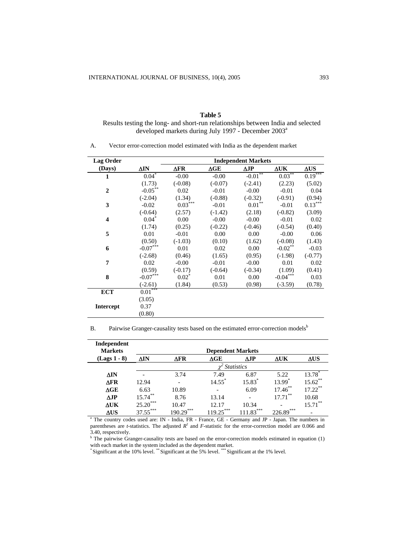# **Table 5** Results testing the long- and short-run relationships between India and selected developed markets during July 1997 - December 2003<sup>a</sup>

#### A. Vector error-correction model estimated with India as the dependent market

| Lag Order               |             |                       |                      | <b>Independent Markets</b> |                |             |
|-------------------------|-------------|-----------------------|----------------------|----------------------------|----------------|-------------|
| (Days)                  | $\Delta$ IN | $\Delta$ FR           | $\Delta \mathbf{GE}$ | $\Delta$ JP                | $\Delta$ UK    | $\Delta US$ |
| 1                       | $0.04*$     | $-0.00$               | $-0.00$              | $-0.01$ **                 | $0.03***$      | $0.19***$   |
|                         | (1.73)      | $(-0.08)$             | $(-0.07)$            | $(-2.41)$                  | (2.23)         | (5.02)      |
| $\overline{2}$          | $-0.05$ **  | 0.02                  | $-0.01$              | $-0.00$                    | $-0.01$        | 0.04        |
|                         | $(-2.04)$   | (1.34)                | $(-0.88)$            | $(-0.32)$                  | $(-0.91)$      | (0.94)      |
| 3                       | $-0.02$     | $0.03$ <sup>***</sup> | $-0.01$              | $0.01$ **                  | $-0.01$        | $0.13***$   |
|                         | $(-0.64)$   | (2.57)                | $(-1.42)$            | (2.18)                     | $(-0.82)$      | (3.09)      |
| $\overline{\mathbf{4}}$ | $0.04*$     | 0.00                  | $-0.00$              | $-0.00$                    | $-0.01$        | 0.02        |
|                         | (1.74)      | (0.25)                | $(-0.22)$            | $(-0.46)$                  | $(-0.54)$      | (0.40)      |
| 5                       | 0.01        | $-0.01$               | 0.00                 | 0.00                       | $-0.00$        | 0.06        |
|                         | (0.50)      | $(-1.03)$             | (0.10)               | (1.62)                     | $(-0.08)$      | (1.43)      |
| 6                       | $-0.07***$  | 0.01                  | 0.02                 | 0.00                       | $-0.02$ **     | $-0.03$     |
|                         | $(-2.68)$   | (0.46)                | (1.65)               | (0.95)                     | $(-1.98)$      | $(-0.77)$   |
| 7                       | 0.02        | $-0.00$               | $-0.01$              | $-0.00$                    | 0.01           | 0.02        |
|                         | (0.59)      | $(-0.17)$             | $(-0.64)$            | $(-0.34)$                  | (1.09)         | (0.41)      |
| 8                       | $-0.07***$  | $0.02*$               | 0.01                 | 0.00                       | ***<br>$-0.04$ | 0.03        |
|                         | $(-2.61)$   | (1.84)                | (0.53)               | (0.98)                     | $(-3.59)$      | (0.78)      |
| <b>ECT</b>              | $0.01***$   |                       |                      |                            |                |             |
|                         | (3.05)      |                       |                      |                            |                |             |
| <b>Intercept</b>        | 0.37        |                       |                      |                            |                |             |
|                         | (0.80)      |                       |                      |                            |                |             |

B. Pairwise Granger-causality tests based on the estimated error-correction models<sup>b</sup>

| Independent<br><b>Markets</b>                                                                                 |            |                          | <b>Dependent Markets</b> |                   |             |                    |
|---------------------------------------------------------------------------------------------------------------|------------|--------------------------|--------------------------|-------------------|-------------|--------------------|
| $(Lags 1 - 8)$                                                                                                | ΔIN        | $\Delta$ FR              | $\Delta \text{GE}$       | $\Delta$ JP       | $\Delta$ UK | $\Delta$ US        |
|                                                                                                               |            |                          |                          | <b>Statistics</b> |             |                    |
| ΔIΝ                                                                                                           |            | 3.74                     | 7.49                     | 6.87              | 5.22        | 13.78 <sup>*</sup> |
| ΔFR                                                                                                           | 12.94      | $\overline{\phantom{a}}$ | $14.55$ <sup>*</sup>     | 15.83*            | $13.99^*$   | $15.62***$         |
| $\Delta \text{GE}$                                                                                            | 6.63       | 10.89                    |                          | 6.09              | $17.46$ **  | $17.22***$         |
| $\Delta$ JP                                                                                                   | $15.74***$ | 8.76                     | 13.14                    |                   | $17.71$ **  | 10.68              |
| $\Delta$ UK                                                                                                   | $25.20***$ | 10.47                    | 12.17                    | 10.34             |             | $15.71$ **         |
| ΔUS.                                                                                                          | $37.55***$ | $190.29***$              | $119.25***$              | $111.83***$       | $226.89***$ |                    |
| <sup>a</sup> The country codes used are: IN - India, FR - France, GE - Germany and JP - Japan. The numbers in |            |                          |                          |                   |             |                    |

parentheses are *t*-statistics. The adjusted  $R^2$  and *F*-statistic for the error-correction model are 0.066 and 3.40, respectively.

<sup>b</sup> The pairwise Granger-causality tests are based on the error-correction models estimated in equation (1)

with each market in the system included as the dependent market.<br>\* Significant at the 10% level. \*\* Significant at the 5% level. \*\*\* Significant at the 1% level.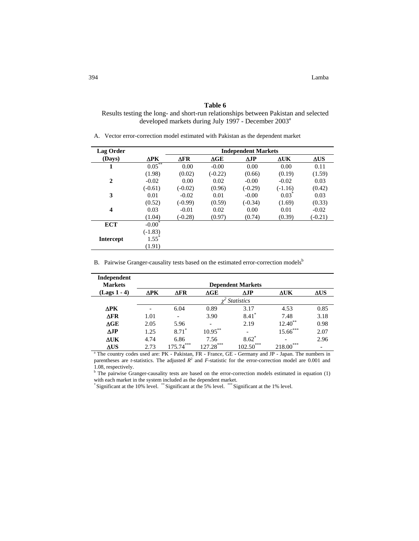Results testing the long- and short-run relationships between Pakistan and selected developed markets during July 1997 - December 2003<sup>a</sup>

A. Vector error-correction model estimated with Pakistan as the dependent market

| Lag Order               |             |             |             | <b>Independent Markets</b> |             |             |
|-------------------------|-------------|-------------|-------------|----------------------------|-------------|-------------|
| (Days)                  | $\Delta$ PK | $\Delta$ FR | $\Delta GE$ | $\Delta$ JP                | $\Delta$ UK | $\Delta$ US |
| 1                       | $0.05***$   | 0.00        | $-0.00$     | 0.00                       | 0.00        | 0.11        |
|                         | (1.98)      | (0.02)      | $(-0.22)$   | (0.66)                     | (0.19)      | (1.59)      |
| $\mathbf{2}$            | $-0.02$     | 0.00        | 0.02        | $-0.00$                    | $-0.02$     | 0.03        |
|                         | $(-0.61)$   | $(-0.02)$   | (0.96)      | $(-0.29)$                  | $(-1.16)$   | (0.42)      |
| 3                       | 0.01        | $-0.02$     | 0.01        | $-0.00$                    | $0.03*$     | 0.03        |
|                         | (0.52)      | $(-0.99)$   | (0.59)      | $(-0.34)$                  | (1.69)      | (0.33)      |
| $\overline{\mathbf{4}}$ | 0.03        | $-0.01$     | 0.02        | 0.00                       | 0.01        | $-0.02$     |
|                         | (1.04)      | $(-0.28)$   | (0.97)      | (0.74)                     | (0.39)      | $(-0.21)$   |
| <b>ECT</b>              | $-0.00*$    |             |             |                            |             |             |
|                         | $(-1.83)$   |             |             |                            |             |             |
| <b>Intercept</b>        | $1.55^*$    |             |             |                            |             |             |
|                         | (1.91)      |             |             |                            |             |             |

B. Pairwise Granger-causality tests based on the estimated error-correction models<sup>b</sup>

| Independent<br><b>Markets</b>                                                                                    |             |             |                    | <b>Dependent Markets</b> |             |             |
|------------------------------------------------------------------------------------------------------------------|-------------|-------------|--------------------|--------------------------|-------------|-------------|
| (Lags 1 - 4)                                                                                                     | $\Delta$ PK | $\Delta$ FR | $\Delta \text{GE}$ | ΔJP                      | ΔUK         | $\Delta$ US |
|                                                                                                                  |             |             |                    | <b>Statistics</b>        |             |             |
| ΔPK                                                                                                              |             | 6.04        | 0.89               | 3.17                     | 4.53        | 0.85        |
| $\Delta$ FR                                                                                                      | 1.01        |             | 3.90               | $8.41$ <sup>*</sup>      | 7.48        | 3.18        |
| $\Delta \text{GE}$                                                                                               | 2.05        | 5.96        |                    | 2.19                     | $12.40**$   | 0.98        |
| $\Delta$ JP                                                                                                      | 1.25        | $8.71*$     | $10.95***$         |                          | $15.66***$  | 2.07        |
| <b>AUK</b>                                                                                                       | 4.74        | 6.86        | 7.56               | $8.62*$                  |             | 2.96        |
| $\Delta US$                                                                                                      | 2.73        | $175.74***$ | $127.28***$        | $102.50***$              | $218.00***$ |             |
| <sup>a</sup> The country codes used are: PK - Pakistan, FR - France, GE - Germany and JP - Japan. The numbers in |             |             |                    |                          |             |             |

parentheses are *t*-statistics. The adjusted  $R^2$  and *F*-statistic for the error-correction model are 0.001 and

1.08, respectively.<br><sup>b</sup> The pairwise Granger-causality tests are based on the error-correction models estimated in equation (1) with each market in the system included as the dependent market.<br>\* Significant at the 10% level. \*\* Significant at the 5% level. \*\*\* Significant at the 1% level.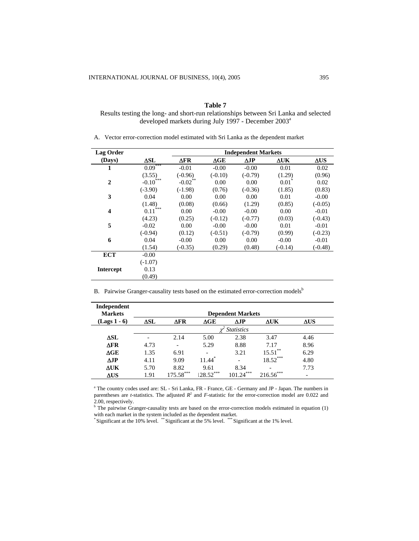Results testing the long- and short-run relationships between Sri Lanka and selected developed markets during July 1997 - December 2003<sup>a</sup>

A. Vector error-correction model estimated with Sri Lanka as the dependent market

| <b>Lag Order</b>        |               |             |             | <b>Independent Markets</b> |             |             |
|-------------------------|---------------|-------------|-------------|----------------------------|-------------|-------------|
| (Days)                  | $\Delta SL$   | $\Delta$ FR | $\Delta GE$ | $\Delta$ JP                | $\Delta$ UK | $\Delta$ US |
| 1                       | $0.09***$     | $-0.01$     | $-0.00$     | $-0.00$                    | 0.01        | 0.02        |
|                         | (3.55)        | $(-0.96)$   | $(-0.10)$   | $(-0.79)$                  | (1.29)      | (0.96)      |
| $\overline{2}$          | $-0.10^{***}$ | $-0.02$ **  | 0.00        | 0.00                       | 0.01        | 0.02        |
|                         | $(-3.90)$     | $(-1.98)$   | (0.76)      | $(-0.36)$                  | (1.85)      | (0.83)      |
| 3                       | 0.04          | 0.00        | 0.00        | 0.00                       | 0.01        | $-0.00$     |
|                         | (1.48)        | (0.08)      | (0.66)      | (1.29)                     | (0.85)      | $(-0.05)$   |
| $\overline{\mathbf{4}}$ | ***<br>0.11   | 0.00        | $-0.00$     | $-0.00$                    | 0.00        | $-0.01$     |
|                         | (4.23)        | (0.25)      | $(-0.12)$   | $(-0.77)$                  | (0.03)      | $(-0.43)$   |
| 5                       | $-0.02$       | 0.00        | $-0.00$     | $-0.00$                    | 0.01        | $-0.01$     |
|                         | $(-0.94)$     | (0.12)      | $(-0.51)$   | $(-0.79)$                  | (0.99)      | $(-0.23)$   |
| 6                       | 0.04          | $-0.00$     | 0.00        | 0.00                       | $-0.00$     | $-0.01$     |
|                         | (1.54)        | $(-0.35)$   | (0.29)      | (0.48)                     | $(-0.14)$   | $(-0.48)$   |
| <b>ECT</b>              | $-0.00$       |             |             |                            |             |             |
|                         | $(-1.07)$     |             |             |                            |             |             |
| <b>Intercept</b>        | 0.13          |             |             |                            |             |             |
|                         | (0.49)        |             |             |                            |             |             |

B. Pairwise Granger-causality tests based on the estimated error-correction models<sup>b</sup>

| Independent<br><b>Markets</b> |      |                              |                      | <b>Dependent Markets</b> |             |      |
|-------------------------------|------|------------------------------|----------------------|--------------------------|-------------|------|
| $(Lags 1 - 6)$                | ΔSL  | ΔFR                          | $\Delta GE$          | ΔJP                      | ΔUΚ         | ΔUS  |
|                               |      |                              |                      | <b>Statistics</b>        |             |      |
| ΔSL                           |      | 2.14                         | 5.00                 | 2.38                     | 3.47        | 4.46 |
| $\Delta$ FR                   | 4.73 | $\qquad \qquad \blacksquare$ | 5.29                 | 8.88                     | 7.17        | 8.96 |
| $\Delta GE$                   | 1.35 | 6.91                         |                      | 3.21                     | $15.51***$  | 6.29 |
| $\Delta$ JP                   | 4.11 | 9.09                         | $11.44$ <sup>*</sup> | $\overline{\phantom{a}}$ | $18.52***$  | 4.80 |
| $\Delta$ UK                   | 5.70 | 8.82                         | 9.61                 | 8.34                     |             | 7.73 |
| $\Delta US$                   | 1.91 | $175.58***$                  | $128.52***$          | $101.24***$              | $216.56***$ | -    |

<sup>a</sup> The country codes used are: SL - Sri Lanka, FR - France, GE - Germany and JP - Japan. The numbers in parentheses are *t*-statistics. The adjusted  $R^2$  and *F*-statistic for the error-correction model are 0.022 and 2.00, respectively.<br><sup>b</sup> The pairwise Granger-causality tests are based on the error-correction models estimated in equation (1)

with each market in the system included as the dependent market. \* Significant at the 10% level. \*\* Significant at the 5% level. \*\*\* Significant at the 1% level.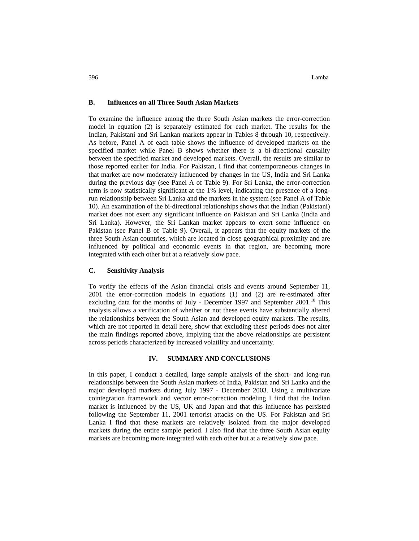#### **B. Influences on all Three South Asian Markets**

To examine the influence among the three South Asian markets the error-correction model in equation (2) is separately estimated for each market. The results for the Indian, Pakistani and Sri Lankan markets appear in Tables 8 through 10, respectively. As before, Panel A of each table shows the influence of developed markets on the specified market while Panel B shows whether there is a bi-directional causality between the specified market and developed markets. Overall, the results are similar to those reported earlier for India. For Pakistan, I find that contemporaneous changes in that market are now moderately influenced by changes in the US, India and Sri Lanka during the previous day (see Panel A of Table 9). For Sri Lanka, the error-correction term is now statistically significant at the 1% level, indicating the presence of a longrun relationship between Sri Lanka and the markets in the system (see Panel A of Table 10). An examination of the bi-directional relationships shows that the Indian (Pakistani) market does not exert any significant influence on Pakistan and Sri Lanka (India and Sri Lanka). However, the Sri Lankan market appears to exert some influence on Pakistan (see Panel B of Table 9). Overall, it appears that the equity markets of the three South Asian countries, which are located in close geographical proximity and are influenced by political and economic events in that region, are becoming more integrated with each other but at a relatively slow pace.

#### **C. Sensitivity Analysis**

To verify the effects of the Asian financial crisis and events around September 11, 2001 the error-correction models in equations (1) and (2) are re-estimated after excluding data for the months of July - December 1997 and September  $2001$ .<sup>10</sup> This analysis allows a verification of whether or not these events have substantially altered the relationships between the South Asian and developed equity markets. The results, which are not reported in detail here, show that excluding these periods does not alter the main findings reported above, implying that the above relationships are persistent across periods characterized by increased volatility and uncertainty.

## **IV. SUMMARY AND CONCLUSIONS**

In this paper, I conduct a detailed, large sample analysis of the short- and long-run relationships between the South Asian markets of India, Pakistan and Sri Lanka and the major developed markets during July 1997 - December 2003. Using a multivariate cointegration framework and vector error-correction modeling I find that the Indian market is influenced by the US, UK and Japan and that this influence has persisted following the September 11, 2001 terrorist attacks on the US. For Pakistan and Sri Lanka I find that these markets are relatively isolated from the major developed markets during the entire sample period. I also find that the three South Asian equity markets are becoming more integrated with each other but at a relatively slow pace.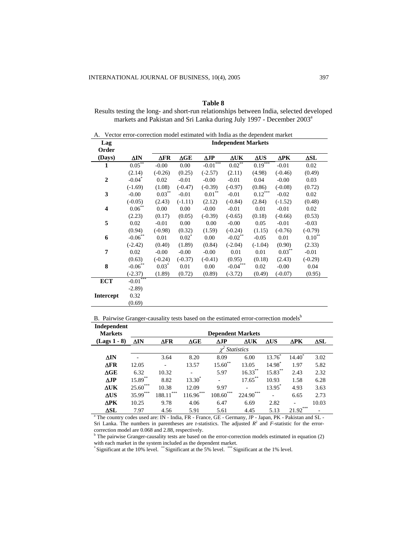Results testing the long- and short-run relationships between India, selected developed markets and Pakistan and Sri Lanka during July 1997 - December 2003<sup>a</sup>

| А.                      | Vector error-correction model estimated with India as the dependent market |             |             |                                     |                            |                       |             |                   |
|-------------------------|----------------------------------------------------------------------------|-------------|-------------|-------------------------------------|----------------------------|-----------------------|-------------|-------------------|
| Lag                     |                                                                            |             |             |                                     | <b>Independent Markets</b> |                       |             |                   |
| Order                   |                                                                            |             |             |                                     |                            |                       |             |                   |
| (Days)                  | ΔIN                                                                        | $\Delta$ FR | $\Delta GE$ | $\Delta$ JP                         | $\Delta$ UK                | $\Delta$ US           | $\Delta$ PK | $\Delta SL$       |
| $\mathbf{1}$            | $0.05$ <sup>**</sup>                                                       | $-0.00$     | 0.00        | $\textnormal{-}0.01^{\ast\ast\ast}$ | $0.02***$                  | $0.19***$             | $-0.01$     | 0.02              |
|                         | (2.14)                                                                     | $(-0.26)$   | (0.25)      | $(-2.57)$                           | (2.11)                     | (4.98)                | $(-0.46)$   | (0.49)            |
| $\overline{2}$          | $-0.04$ <sup>*</sup>                                                       | 0.02        | $-0.01$     | $-0.00$                             | $-0.01$                    | 0.04                  | $-0.00$     | 0.03              |
|                         | $(-1.69)$                                                                  | (1.08)      | $(-0.47)$   | $(-0.39)$                           | $(-0.97)$                  | (0.86)                | $(-0.08)$   | (0.72)            |
| 3                       | $-0.00$                                                                    | $0.03***$   | $-0.01$     | $0.01^{\ast\ast}$                   | $-0.01$                    | $0.12^{\ast\ast\ast}$ | $-0.02$     | 0.02              |
|                         | $(-0.05)$                                                                  | (2.43)      | $(-1.11)$   | (2.12)                              | $(-0.84)$                  | (2.84)                | $(-1.52)$   | (0.48)            |
| $\overline{\mathbf{4}}$ | $0.06^{\ast\ast}$                                                          | 0.00        | 0.00        | $-0.00$                             | $-0.01$                    | 0.01                  | $-0.01$     | 0.02              |
|                         | (2.23)                                                                     | (0.17)      | (0.05)      | $(-0.39)$                           | $(-0.65)$                  | (0.18)                | $(-0.66)$   | (0.53)            |
| 5                       | 0.02                                                                       | $-0.01$     | 0.00        | 0.00                                | $-0.00$                    | 0.05                  | $-0.01$     | $-0.03$           |
|                         | (0.94)                                                                     | $(-0.98)$   | (0.32)      | (1.59)                              | $(-0.24)$                  | (1.15)                | $(-0.76)$   | $(-0.79)$         |
| 6                       | $-0.06$ **                                                                 | 0.01        | $0.02^*$    | 0.00                                | $-0.02$ **                 | $-0.05$               | 0.01        | $0.10^{\ast\ast}$ |
|                         | $(-2.42)$                                                                  | (0.40)      | (1.89)      | (0.84)                              | $(-2.04)$                  | $(-1.04)$             | (0.90)      | (2.33)            |
| 7                       | 0.02                                                                       | $-0.00$     | $-0.00$     | $-0.00$                             | 0.01                       | 0.01                  | $0.03***$   | $-0.01$           |
|                         | (0.63)                                                                     | $(-0.24)$   | $(-0.37)$   | $(-0.41)$                           | (0.95)                     | (0.18)                | (2.43)      | $(-0.29)$         |
| 8                       | $-0.06^{\ast\ast}$                                                         | $0.03*$     | 0.01        | 0.00                                | $-0.04***$                 | 0.02                  | $-0.00$     | 0.04              |
|                         | $(-2.37)$                                                                  | (1.89)      | (0.72)      | (0.89)                              | $(-3.72)$                  | (0.49)                | $(-0.07)$   | (0.95)            |
| <b>ECT</b>              | $-0.01***$                                                                 |             |             |                                     |                            |                       |             |                   |
|                         | $-2.89$ )                                                                  |             |             |                                     |                            |                       |             |                   |
| <b>Intercept</b>        | 0.32                                                                       |             |             |                                     |                            |                       |             |                   |
|                         | (0.69)                                                                     |             |             |                                     |                            |                       |             |                   |

B. Pairwise Granger-causality tests based on the estimated error-correction models<sup>b</sup>

| Independent    |                             |                          |                   |               |                   |                    |             |             |  |  |  |
|----------------|-----------------------------|--------------------------|-------------------|---------------|-------------------|--------------------|-------------|-------------|--|--|--|
| <b>Markets</b> |                             | <b>Dependent Markets</b> |                   |               |                   |                    |             |             |  |  |  |
| $(Lags 1 - 8)$ | ΔIN                         | ΔFR                      | $\Delta GE$       | $\Delta$ JP   | $\Delta$ UK       | $\Delta$ US        | $\Delta$ PK | $\Delta SL$ |  |  |  |
|                |                             |                          |                   |               | <b>Statistics</b> |                    |             |             |  |  |  |
| ΔIN            |                             | 3.64                     | 8.20              | 8.09          | 6.00              | $13.76^{\circ}$    | $14.40^*$   | 3.02        |  |  |  |
| ΔFR            | 12.05                       | ٠                        | 13.57             | $15.60**$     | 13.05             | 14.98 <sup>*</sup> | 1.97        | 5.82        |  |  |  |
| $\Delta GE$    | 6.32                        | 10.32                    | ٠                 | 5.97          | $16.33***$        | $15.83***$         | 2.43        | 2.32        |  |  |  |
| $\triangle$ IP | 15.89 <sup>**</sup>         | 8.82                     | $13.30^{\degree}$ |               | $17.65***$        | 10.93              | 1.58        | 6.28        |  |  |  |
| ΔUΚ            | $25.60***$                  | 10.38                    | 12.09             | 9.97          |                   | 13.95              | 4.93        | 3.63        |  |  |  |
| $\Delta$ US    | 米米米<br>$35.99$ <sup>2</sup> | ***<br>188.11            | $116.96***$       | 寒寒寒<br>108.60 | ***<br>224.90     |                    | 6.65        | 2.73        |  |  |  |
| ΔРΚ            | 10.25                       | 9.78                     | 4.06              | 6.47          | 6.69              | 2.82               |             | 10.03       |  |  |  |
| $\Delta SL$    | 7.97                        | 4.56                     | 5.91              | 5.61          | 4.45              | 5.13               | $21.92***$  |             |  |  |  |

<sup>a</sup> The country codes used are: IN - India, FR - France, GE - Germany, JP - Japan, PK - Pakistan and SL -Sri Lanka. The numbers in parentheses are *t*-statistics. The adjusted  $R^2$  and *F*-statistic for the errorcorrection model are 0.068 and 2.88, respectively.

 $b<sup>b</sup>$  The pairwise Granger-causality tests are based on the error-correction models estimated in equation (2) with each market in the system included as the dependent market.<br>\* Significant at the 10% level. \*\* Significant at the 5% level. \*\*\* Significant at the 1% level.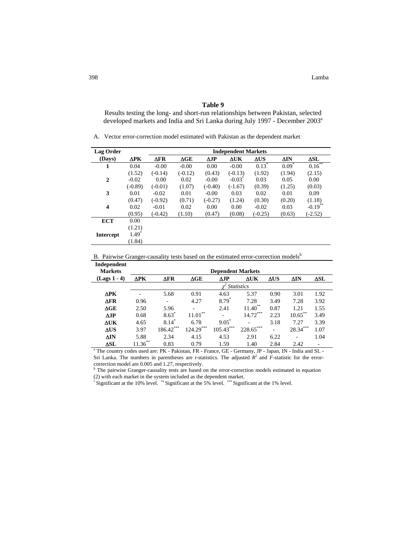Results testing the long- and short-run relationships between Pakistan, selected developed markets and India and Sri Lanka during July 1997 - December 2003<sup>a</sup>

A. Vector error-correction model estimated with Pakistan as the dependent market

| <b>Lag Order</b>        |                     |             |                    |             | <b>Independent Markets</b> |             |         |                       |
|-------------------------|---------------------|-------------|--------------------|-------------|----------------------------|-------------|---------|-----------------------|
| (Days)                  | $\Delta$ PK         | $\Delta$ FR | $\Delta \text{GE}$ | $\Delta$ JP | $\Delta$ UK                | $\Delta$ US | ΔIN     | $\Delta SL$           |
| 1                       | 0.04                | $-0.00$     | $-0.00$            | 0.00        | $-0.00$                    | $0.13*$     | $0.09*$ | $0.16***$             |
|                         | (1.52)              | $(-0.14)$   | $(-0.12)$          | (0.43)      | $(-0.13)$                  | (1.92)      | (1.94)  | (2.15)                |
| $\mathbf{2}$            | $-0.02$             | 0.00        | 0.02               | $-0.00$     | $-0.03^{\circ}$            | 0.03        | 0.05    | 0.00                  |
|                         | $(-0.89)$           | $(-0.01)$   | (1.07)             | $(-0.40)$   | $(-1.67)$                  | (0.39)      | (1.25)  | (0.03)                |
| 3                       | 0.01                | $-0.02$     | 0.01               | $-0.00$     | 0.03                       | 0.02        | 0.01    | 0.09                  |
|                         | (0.47)              | $(-0.92)$   | (0.71)             | $(-0.27)$   | (1.24)                     | (0.30)      | (0.20)  | (1.18)                |
| $\overline{\mathbf{4}}$ | 0.02                | $-0.01$     | 0.02               | 0.00        | 0.00                       | $-0.02$     | 0.03    | $-0.19$ <sup>**</sup> |
|                         | (0.95)              | $(-0.42)$   | (1.10)             | (0.47)      | (0.08)                     | $(-0.25)$   | (0.63)  | $(-2.52)$             |
| <b>ECT</b>              | 0.00                |             |                    |             |                            |             |         |                       |
|                         | (1.21)              |             |                    |             |                            |             |         |                       |
| <b>Intercept</b>        | $1.49$ <sup>*</sup> |             |                    |             |                            |             |         |                       |
|                         | (1.84)              |             |                    |             |                            |             |         |                       |

B. Pairwise Granger-causality tests based on the estimated error-correction models<sup>b</sup>

| Independent<br><b>Markets</b> |             |               |                         | <b>Dependent Markets</b> |                   |             |              |             |
|-------------------------------|-------------|---------------|-------------------------|--------------------------|-------------------|-------------|--------------|-------------|
| $(Lags 1 - 4)$                | $\Delta$ PK | $\Delta$ FR   | $\Delta \text{GE}$      | $\Delta$ JP              | $\Delta$ UK       | $\Delta$ US | ΔIN          | $\Delta SL$ |
|                               |             |               |                         |                          | <b>Statistics</b> |             |              |             |
| $\Delta$ PK                   |             | 5.68          | 0.91                    | 4.63                     | 5.37              | 0.90        | 3.01         | 1.92        |
| $\Delta$ FR                   | 0.96        |               | 4.27                    | $8.79*$                  | 7.28              | 3.49        | 7.28         | 3.92        |
| $\Delta \mathbf{GE}$          | 2.50        | 5.96          | -                       | 2.41                     | 11.40             | 0.87        | 1.21         | 1.55        |
| $\Delta$ JP                   | 0.68        | $8.63*$       | 米米<br>$11.01^{\degree}$ | ٠                        | ***<br>14.72      | 2.23        | $10.65***$   | 3.49        |
| $\Delta$ UK                   | 4.65        | 8.14          | 6.78                    | $9.05^*$                 |                   | 3.18        | 7.27         | 3.39        |
| $\Delta US$                   | 3.97        | ***<br>186.42 | $124.29***$             | ***<br>105.43            | 228.65            | ٠           | 寒寒寒<br>28.34 | 1.07        |
| $\Delta$ IN                   | 5.88        | 2.34          | 4.15                    | 4.53                     | 2.91              | 6.22        |              | 1.04        |
| ΔSL<br>$\sim$                 | $11.36***$  | 0.83          | 0.79                    | 1.59                     | 1.40              | 2.84        | 2.42         |             |

The country codes used are: PK - Pakistan, FR - France, GE - Germany, JP - Japan, IN - India and SL -Sri Lanka. The numbers in parentheses are *t*-statistics. The adjusted  $R^2$  and  $\overline{F}$ -statistic for the errorcorrection model are 0.005 and 1.27, respectively.

<sup>b</sup> The pairwise Granger-causality tests are based on the error-correction models estimated in equation

(2) with each market in the system included as the dependent market. \* Significant at the 10% level. \*\* Significant at the 5% level. \*\*\* Significant at the 1% level.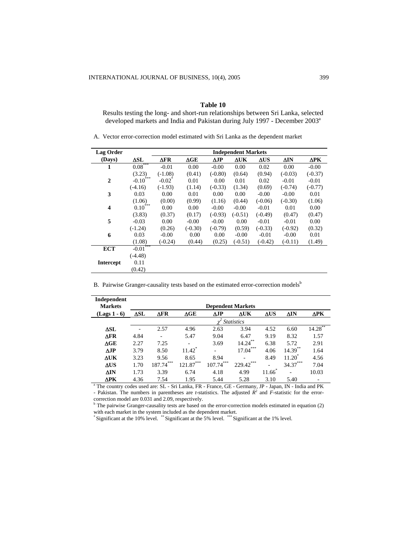Results testing the long- and short-run relationships between Sri Lanka, selected developed markets and India and Pakistan during July 1997 - December 2003<sup>a</sup>

A. Vector error-correction model estimated with Sri Lanka as the dependent market

| <b>Lag Order</b>        |                       |             |             |             | <b>Independent Markets</b> |             |             |             |
|-------------------------|-----------------------|-------------|-------------|-------------|----------------------------|-------------|-------------|-------------|
| (Days)                  | $\Delta SL$           | $\Delta$ FR | $\Delta GE$ | $\Delta$ JP | $\Delta$ UK                | $\Delta$ US | $\Delta$ IN | $\Delta$ PK |
| 1                       | $0.08***$             | $-0.01$     | 0.00        | $-0.00$     | 0.00                       | 0.02        | 0.00        | $-0.00$     |
|                         | (3.23)                | $(-1.08)$   | (0.41)      | $(-0.80)$   | (0.64)                     | (0.94)      | $(-0.03)$   | $(-0.37)$   |
| $\mathbf{2}$            | $-0.10$ ***           | $-0.02^*$   | 0.01        | 0.00        | 0.01                       | 0.02        | $-0.01$     | $-0.01$     |
|                         | $(-4.16)$             | $(-1.93)$   | (1.14)      | $(-0.33)$   | (1.34)                     | (0.69)      | $(-0.74)$   | $(-0.77)$   |
| 3                       | 0.03                  | 0.00        | 0.01        | 0.00        | 0.00                       | $-0.00$     | $-0.00$     | 0.01        |
|                         | (1.06)                | (0.00)      | (0.99)      | (1.16)      | (0.44)                     | $(-0.06)$   | $(-0.30)$   | (1.06)      |
| $\overline{\mathbf{4}}$ | ***<br>$0.10^{\circ}$ | 0.00        | 0.00        | $-0.00$     | $-0.00$                    | $-0.01$     | 0.01        | 0.00        |
|                         | (3.83)                | (0.37)      | (0.17)      | $(-0.93)$   | $(-0.51)$                  | $(-0.49)$   | (0.47)      | (0.47)      |
| 5                       | $-0.03$               | 0.00        | $-0.00$     | $-0.00$     | 0.00                       | $-0.01$     | $-0.01$     | 0.00        |
|                         | $(-1.24)$             | (0.26)      | $(-0.30)$   | $(-0.79)$   | (0.59)                     | $(-0.33)$   | $(-0.92)$   | (0.32)      |
| 6                       | 0.03                  | $-0.00$     | 0.00        | 0.00        | $-0.00$                    | $-0.01$     | $-0.00$     | 0.01        |
|                         | (1.08)                | $(-0.24)$   | (0.44)      | (0.25)      | $(-0.51)$                  | $(-0.42)$   | $(-0.11)$   | (1.49)      |
| <b>ECT</b>              | $-0.01***$            |             |             |             |                            |             |             |             |
|                         | $(-4.48)$             |             |             |             |                            |             |             |             |
| <b>Intercept</b>        | 0.11                  |             |             |             |                            |             |             |             |
|                         | (0.42)                |             |             |             |                            |             |             |             |

B. Pairwise Granger-causality tests based on the estimated error-correction models<sup>b</sup>

| Independent                                                                                                       |                          |             |                      |             |            |             |             |            |
|-------------------------------------------------------------------------------------------------------------------|--------------------------|-------------|----------------------|-------------|------------|-------------|-------------|------------|
| <b>Markets</b>                                                                                                    | <b>Dependent Markets</b> |             |                      |             |            |             |             |            |
| $(Lags 1 - 6)$                                                                                                    | ΔSL                      | $\Delta$ FR | $\Delta \mathbf{GE}$ | $\Delta$ JP | ΔUΚ        | $\Delta$ US | $\Delta$ IN | ΔРΚ        |
|                                                                                                                   | <i>Statistics</i>        |             |                      |             |            |             |             |            |
| $\Delta SL$                                                                                                       |                          | 2.57        | 4.96                 | 2.63        | 3.94       | 4.52        | 6.60        | $14.28***$ |
| $\Delta$ FR                                                                                                       | 4.84                     |             | 5.47                 | 9.04        | 6.47       | 9.19        | 8.32        | 1.57       |
| $\Delta \text{GE}$                                                                                                | 2.27                     | 7.25        | ۰                    | 3.69        | $14.24***$ | 6.38        | 5.72        | 2.91       |
| $\Delta$ JP                                                                                                       | 3.79                     | 8.50        | $11.42^*$            | ٠           | $17.04***$ | 4.06        | $14.39***$  | 1.64       |
| <b>AUK</b>                                                                                                        | 3.23                     | 9.56        | 8.65                 | 8.94        |            | 8.49        | $11.20^*$   | 4.56       |
| $\Delta$ US                                                                                                       | 1.70                     | $187.74***$ | $121.87***$          | $107.74***$ | 229.42***  | ÷,          | $34.37***$  | 7.04       |
| ΔIN                                                                                                               | 1.73                     | 3.39        | 6.74                 | 4.18        | 4.99       | $11.66^*$   |             | 10.03      |
| $\Delta$ PK                                                                                                       | 4.36                     | 7.54        | 1.95                 | 5.44        | 5.28       | 3.10        | 5.40        |            |
| <sup>a</sup> The country codes used are: SL - Sri Lanka, FR - France, GE - Germany, JP - Japan, IN - India and PK |                          |             |                      |             |            |             |             |            |

- Pakistan. The numbers in parentheses are *t*-statistics. The adjusted  $R^2$  and *F*-statistic for the errorcorrection model are 0.031 and 2.09, respectively.

 $b$  The pairwise Granger-causality tests are based on the error-correction models estimated in equation (2) with each market in the system included as the dependent market.<br>\* Significant at the 10% level. \*\* Significant at the 5% level. \*\*\* Significant at the 1% level.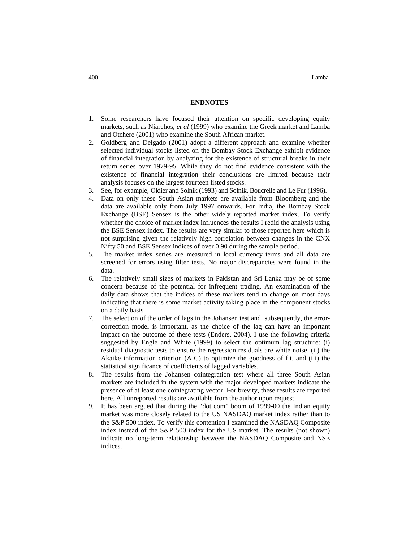400 Lamba

### **ENDNOTES**

- 1. Some researchers have focused their attention on specific developing equity markets, such as Niarchos, *et al* (1999) who examine the Greek market and Lamba and Otchere (2001) who examine the South African market.
- 2. Goldberg and Delgado (2001) adopt a different approach and examine whether selected individual stocks listed on the Bombay Stock Exchange exhibit evidence of financial integration by analyzing for the existence of structural breaks in their return series over 1979-95. While they do not find evidence consistent with the existence of financial integration their conclusions are limited because their analysis focuses on the largest fourteen listed stocks.
- 3. See, for example, Oldier and Solnik (1993) and Solnik, Boucrelle and Le Fur (1996).
- 4. Data on only these South Asian markets are available from Bloomberg and the data are available only from July 1997 onwards. For India, the Bombay Stock Exchange (BSE) Sensex is the other widely reported market index. To verify whether the choice of market index influences the results I redid the analysis using the BSE Sensex index. The results are very similar to those reported here which is not surprising given the relatively high correlation between changes in the CNX Nifty 50 and BSE Sensex indices of over 0.90 during the sample period.
- 5. The market index series are measured in local currency terms and all data are screened for errors using filter tests. No major discrepancies were found in the data.
- 6. The relatively small sizes of markets in Pakistan and Sri Lanka may be of some concern because of the potential for infrequent trading. An examination of the daily data shows that the indices of these markets tend to change on most days indicating that there is some market activity taking place in the component stocks on a daily basis.
- 7. The selection of the order of lags in the Johansen test and, subsequently, the errorcorrection model is important, as the choice of the lag can have an important impact on the outcome of these tests (Enders, 2004). I use the following criteria suggested by Engle and White (1999) to select the optimum lag structure: (i) residual diagnostic tests to ensure the regression residuals are white noise, (ii) the Akaike information criterion (AIC) to optimize the goodness of fit, and (iii) the statistical significance of coefficients of lagged variables.
- 8. The results from the Johansen cointegration test where all three South Asian markets are included in the system with the major developed markets indicate the presence of at least one cointegrating vector. For brevity, these results are reported here. All unreported results are available from the author upon request.
- 9. It has been argued that during the "dot com" boom of 1999-00 the Indian equity market was more closely related to the US NASDAQ market index rather than to the S&P 500 index. To verify this contention I examined the NASDAQ Composite index instead of the S&P 500 index for the US market. The results (not shown) indicate no long-term relationship between the NASDAQ Composite and NSE indices.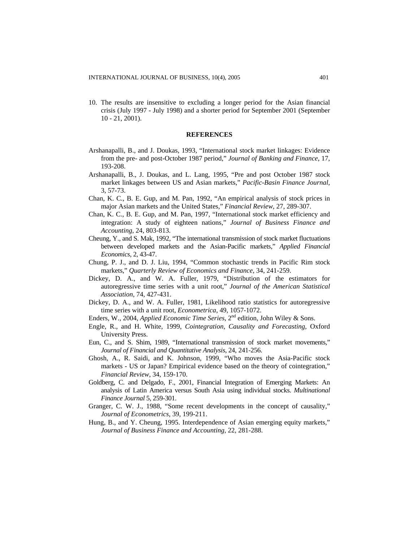10. The results are insensitive to excluding a longer period for the Asian financial crisis (July 1997 - July 1998) and a shorter period for September 2001 (September 10 - 21, 2001).

#### **REFERENCES**

- Arshanapalli, B., and J. Doukas, 1993, "International stock market linkages: Evidence from the pre- and post-October 1987 period," *Journal of Banking and Finance*, 17, 193-208.
- Arshanapalli, B., J. Doukas, and L. Lang, 1995, "Pre and post October 1987 stock market linkages between US and Asian markets," *Pacific-Basin Finance Journal*, 3, 57-73.
- Chan, K. C., B. E. Gup, and M. Pan, 1992, "An empirical analysis of stock prices in major Asian markets and the United States," *Financial Review,* 27, 289-307.
- Chan, K. C., B. E. Gup, and M. Pan, 1997, "International stock market efficiency and integration: A study of eighteen nations," *Journal of Business Finance and Accounting*, 24, 803-813.
- Cheung, Y., and S. Mak, 1992, "The international transmission of stock market fluctuations between developed markets and the Asian-Pacific markets," *Applied Financial Economics*, 2, 43-47.
- Chung, P. J., and D. J. Liu, 1994, "Common stochastic trends in Pacific Rim stock markets," *Quarterly Review of Economics and Finance*, 34, 241-259.
- Dickey, D. A., and W. A. Fuller, 1979, "Distribution of the estimators for autoregressive time series with a unit root," *Journal of the American Statistical Association*, 74, 427-431.
- Dickey, D. A., and W. A. Fuller, 1981, Likelihood ratio statistics for autoregressive time series with a unit root, *Econometrica*, 49, 1057-1072.
- Enders, W., 2004, *Applied Economic Time Series*, 2<sup>nd</sup> edition, John Wiley & Sons.
- Engle, R., and H. White, 1999, *Cointegration, Causality and Forecasting*, Oxford University Press.
- Eun, C., and S. Shim, 1989, "International transmission of stock market movements," *Journal of Financial and Quantitative Analysis*, 24, 241-256.
- Ghosh, A., R. Saidi, and K. Johnson, 1999, "Who moves the Asia-Pacific stock markets - US or Japan? Empirical evidence based on the theory of cointegration," *Financial Review*, 34, 159-170.
- Goldberg, C. and Delgado, F., 2001, Financial Integration of Emerging Markets: An analysis of Latin America versus South Asia using individual stocks. *Multinational Finance Journal* 5, 259-301.
- Granger, C. W. J., 1988, "Some recent developments in the concept of causality," *Journal of Econometrics*, 39, 199-211.
- Hung, B., and Y. Cheung, 1995. Interdependence of Asian emerging equity markets," *Journal of Business Finance and Accounting*, 22, 281-288.